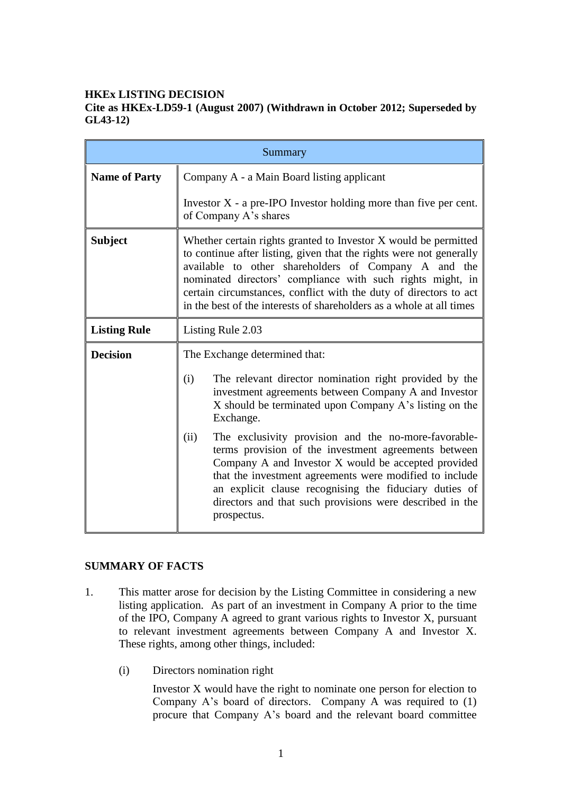## **HKEx LISTING DECISION**

## **Cite as HKEx-LD59-1 (August 2007) (Withdrawn in October 2012; Superseded by GL43-12)**

| Summary              |                                                                                                                                                                                                                                                                                                                                                                                                           |
|----------------------|-----------------------------------------------------------------------------------------------------------------------------------------------------------------------------------------------------------------------------------------------------------------------------------------------------------------------------------------------------------------------------------------------------------|
| <b>Name of Party</b> | Company A - a Main Board listing applicant                                                                                                                                                                                                                                                                                                                                                                |
|                      | Investor $X$ - a pre-IPO Investor holding more than five per cent.<br>of Company A's shares                                                                                                                                                                                                                                                                                                               |
| <b>Subject</b>       | Whether certain rights granted to Investor X would be permitted<br>to continue after listing, given that the rights were not generally<br>available to other shareholders of Company A and the<br>nominated directors' compliance with such rights might, in<br>certain circumstances, conflict with the duty of directors to act<br>in the best of the interests of shareholders as a whole at all times |
| <b>Listing Rule</b>  | Listing Rule 2.03                                                                                                                                                                                                                                                                                                                                                                                         |
| <b>Decision</b>      | The Exchange determined that:                                                                                                                                                                                                                                                                                                                                                                             |
|                      | The relevant director nomination right provided by the<br>(i)<br>investment agreements between Company A and Investor<br>X should be terminated upon Company A's listing on the<br>Exchange.                                                                                                                                                                                                              |
|                      | (ii)<br>The exclusivity provision and the no-more-favorable-<br>terms provision of the investment agreements between<br>Company A and Investor X would be accepted provided<br>that the investment agreements were modified to include<br>an explicit clause recognising the fiduciary duties of<br>directors and that such provisions were described in the<br>prospectus.                               |

## **SUMMARY OF FACTS**

- 1. This matter arose for decision by the Listing Committee in considering a new listing application. As part of an investment in Company A prior to the time of the IPO, Company A agreed to grant various rights to Investor X, pursuant to relevant investment agreements between Company A and Investor X. These rights, among other things, included:
	- (i) Directors nomination right

Investor X would have the right to nominate one person for election to Company A's board of directors. Company A was required to (1) procure that Company A's board and the relevant board committee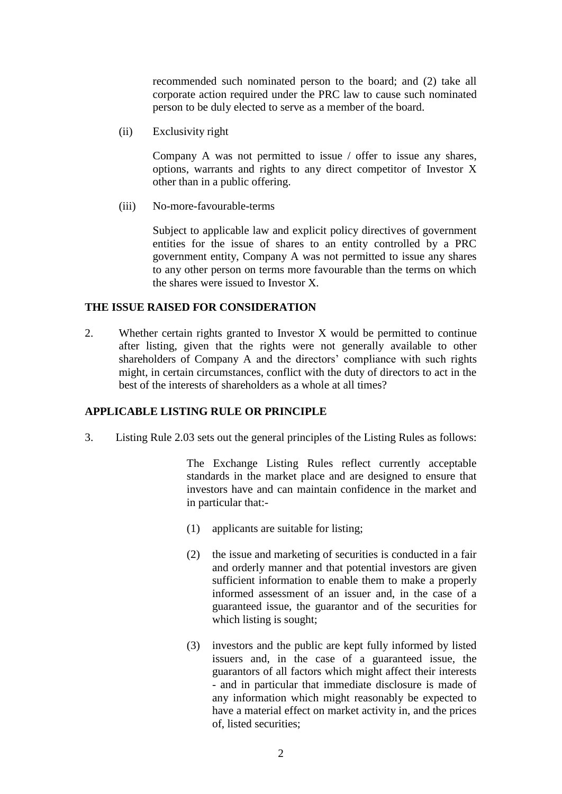recommended such nominated person to the board; and (2) take all corporate action required under the PRC law to cause such nominated person to be duly elected to serve as a member of the board.

(ii) Exclusivity right

Company A was not permitted to issue / offer to issue any shares, options, warrants and rights to any direct competitor of Investor X other than in a public offering.

(iii) No-more-favourable-terms

Subject to applicable law and explicit policy directives of government entities for the issue of shares to an entity controlled by a PRC government entity, Company A was not permitted to issue any shares to any other person on terms more favourable than the terms on which the shares were issued to Investor X.

#### **THE ISSUE RAISED FOR CONSIDERATION**

2. Whether certain rights granted to Investor X would be permitted to continue after listing, given that the rights were not generally available to other shareholders of Company A and the directors' compliance with such rights might, in certain circumstances, conflict with the duty of directors to act in the best of the interests of shareholders as a whole at all times?

### **APPLICABLE LISTING RULE OR PRINCIPLE**

3. Listing Rule 2.03 sets out the general principles of the Listing Rules as follows:

The Exchange Listing Rules reflect currently acceptable standards in the market place and are designed to ensure that investors have and can maintain confidence in the market and in particular that:-

- (1) applicants are suitable for listing;
- (2) the issue and marketing of securities is conducted in a fair and orderly manner and that potential investors are given sufficient information to enable them to make a properly informed assessment of an issuer and, in the case of a guaranteed issue, the guarantor and of the securities for which listing is sought;
- (3) investors and the public are kept fully informed by listed issuers and, in the case of a guaranteed issue, the guarantors of all factors which might affect their interests - and in particular that immediate disclosure is made of any information which might reasonably be expected to have a material effect on market activity in, and the prices of, listed securities;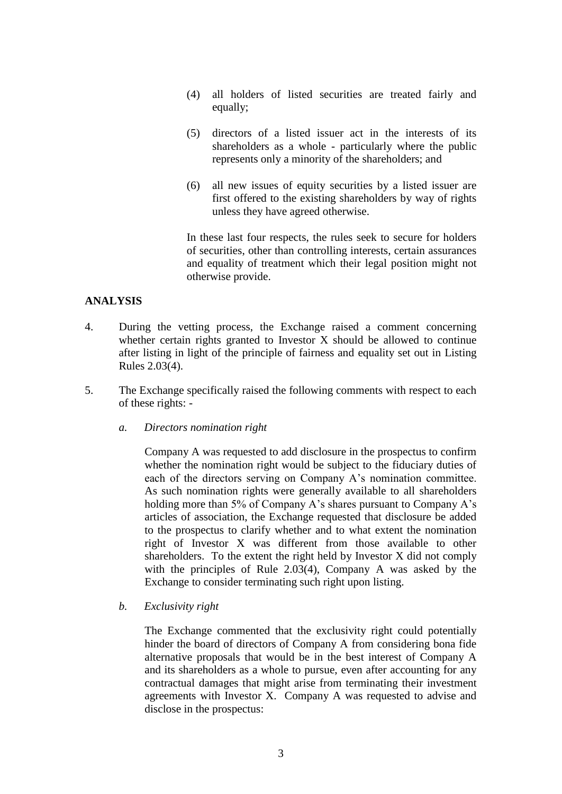- (4) all holders of listed securities are treated fairly and equally;
- (5) directors of a listed issuer act in the interests of its shareholders as a whole - particularly where the public represents only a minority of the shareholders; and
- (6) all new issues of equity securities by a listed issuer are first offered to the existing shareholders by way of rights unless they have agreed otherwise.

In these last four respects, the rules seek to secure for holders of securities, other than controlling interests, certain assurances and equality of treatment which their legal position might not otherwise provide.

# **ANALYSIS**

- 4. During the vetting process, the Exchange raised a comment concerning whether certain rights granted to Investor X should be allowed to continue after listing in light of the principle of fairness and equality set out in Listing Rules 2.03(4).
- 5. The Exchange specifically raised the following comments with respect to each of these rights:
	- *a. Directors nomination right*

Company A was requested to add disclosure in the prospectus to confirm whether the nomination right would be subject to the fiduciary duties of each of the directors serving on Company A's nomination committee. As such nomination rights were generally available to all shareholders holding more than 5% of Company A's shares pursuant to Company A's articles of association, the Exchange requested that disclosure be added to the prospectus to clarify whether and to what extent the nomination right of Investor X was different from those available to other shareholders. To the extent the right held by Investor X did not comply with the principles of Rule 2.03(4), Company A was asked by the Exchange to consider terminating such right upon listing.

*b. Exclusivity right* 

The Exchange commented that the exclusivity right could potentially hinder the board of directors of Company A from considering bona fide alternative proposals that would be in the best interest of Company A and its shareholders as a whole to pursue, even after accounting for any contractual damages that might arise from terminating their investment agreements with Investor X. Company A was requested to advise and disclose in the prospectus: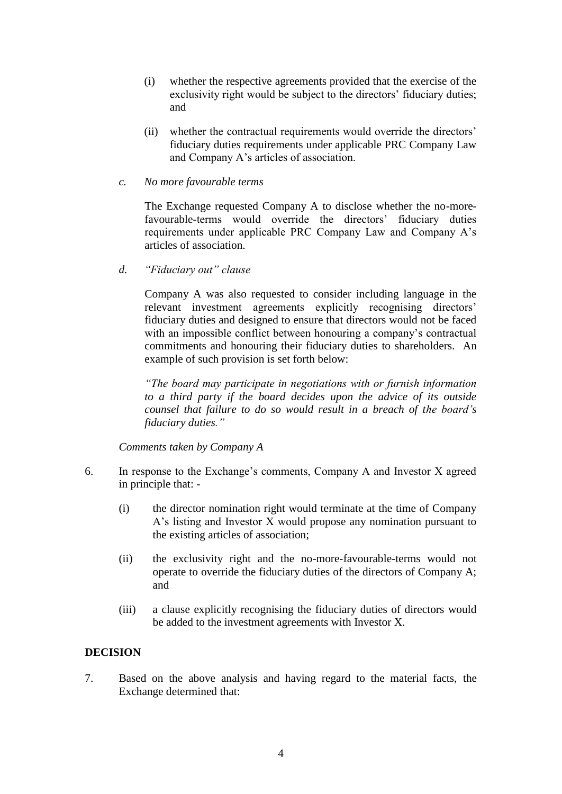- (i) whether the respective agreements provided that the exercise of the exclusivity right would be subject to the directors' fiduciary duties; and
- (ii) whether the contractual requirements would override the directors' fiduciary duties requirements under applicable PRC Company Law and Company A's articles of association.
- *c. No more favourable terms*

The Exchange requested Company A to disclose whether the no-morefavourable-terms would override the directors' fiduciary duties requirements under applicable PRC Company Law and Company A's articles of association.

*d. "Fiduciary out" clause* 

Company A was also requested to consider including language in the relevant investment agreements explicitly recognising directors' fiduciary duties and designed to ensure that directors would not be faced with an impossible conflict between honouring a company's contractual commitments and honouring their fiduciary duties to shareholders. An example of such provision is set forth below:

*"The board may participate in negotiations with or furnish information to a third party if the board decides upon the advice of its outside counsel that failure to do so would result in a breach of the board's fiduciary duties."* 

*Comments taken by Company A*

- 6. In response to the Exchange's comments, Company A and Investor X agreed in principle that: -
	- (i) the director nomination right would terminate at the time of Company A's listing and Investor X would propose any nomination pursuant to the existing articles of association;
	- (ii) the exclusivity right and the no-more-favourable-terms would not operate to override the fiduciary duties of the directors of Company A; and
	- (iii) a clause explicitly recognising the fiduciary duties of directors would be added to the investment agreements with Investor X.

### **DECISION**

7. Based on the above analysis and having regard to the material facts, the Exchange determined that: